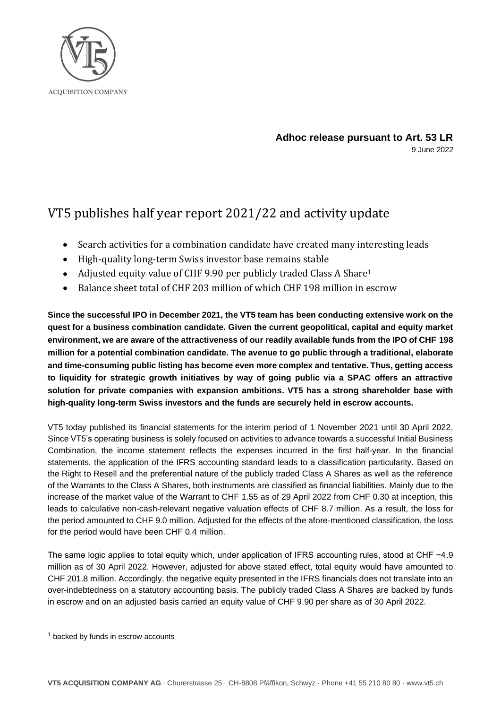

# **Adhoc release pursuant to Art. 53 LR** 9 June 2022

# VT5 publishes half year report 2021/22 and activity update

- Search activities for a combination candidate have created many interesting leads
- High-quality long-term Swiss investor base remains stable
- Adjusted equity value of CHF 9.90 per publicly traded Class A Share<sup>1</sup>
- Balance sheet total of CHF 203 million of which CHF 198 million in escrow

**Since the successful IPO in December 2021, the VT5 team has been conducting extensive work on the quest for a business combination candidate. Given the current geopolitical, capital and equity market environment, we are aware of the attractiveness of our readily available funds from the IPO of CHF 198 million for a potential combination candidate. The avenue to go public through a traditional, elaborate and time-consuming public listing has become even more complex and tentative. Thus, getting access to liquidity for strategic growth initiatives by way of going public via a SPAC offers an attractive solution for private companies with expansion ambitions. VT5 has a strong shareholder base with high-quality long-term Swiss investors and the funds are securely held in escrow accounts.** 

VT5 today published its financial statements for the interim period of 1 November 2021 until 30 April 2022. Since VT5's operating business is solely focused on activities to advance towards a successful Initial Business Combination, the income statement reflects the expenses incurred in the first half-year. In the financial statements, the application of the IFRS accounting standard leads to a classification particularity. Based on the Right to Resell and the preferential nature of the publicly traded Class A Shares as well as the reference of the Warrants to the Class A Shares, both instruments are classified as financial liabilities. Mainly due to the increase of the market value of the Warrant to CHF 1.55 as of 29 April 2022 from CHF 0.30 at inception, this leads to calculative non-cash-relevant negative valuation effects of CHF 8.7 million. As a result, the loss for the period amounted to CHF 9.0 million. Adjusted for the effects of the afore-mentioned classification, the loss for the period would have been CHF 0.4 million.

The same logic applies to total equity which, under application of IFRS accounting rules, stood at CHF −4.9 million as of 30 April 2022. However, adjusted for above stated effect, total equity would have amounted to CHF 201.8 million. Accordingly, the negative equity presented in the IFRS financials does not translate into an over-indebtedness on a statutory accounting basis. The publicly traded Class A Shares are backed by funds in escrow and on an adjusted basis carried an equity value of CHF 9.90 per share as of 30 April 2022.

<sup>&</sup>lt;sup>1</sup> backed by funds in escrow accounts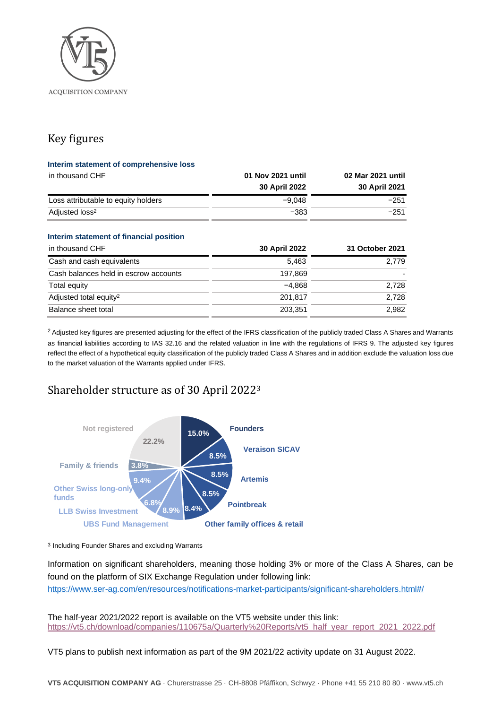

# Key figures

#### **Interim statement of comprehensive loss**

| in thousand CHF                     | 01 Nov 2021 until<br><b>30 April 2022</b> | 02 Mar 2021 until<br>30 April 2021 |
|-------------------------------------|-------------------------------------------|------------------------------------|
| Loss attributable to equity holders | $-9.048$                                  | $-251$                             |
| Adjusted loss <sup>2</sup>          | -383                                      | $-251$                             |

#### **Interim statement of financial position**

| <b>30 April 2022</b> | 31 October 2021 |
|----------------------|-----------------|
| 5.463                | 2,779           |
| 197.869              |                 |
| $-4.868$             | 2,728           |
| 201.817              | 2,728           |
| 203,351              | 2,982           |
|                      |                 |

<sup>2</sup> Adjusted key figures are presented adjusting for the effect of the IFRS classification of the publicly traded Class A Shares and Warrants as financial liabilities according to IAS 32.16 and the related valuation in line with the regulations of IFRS 9. The adjusted key figures reflect the effect of a hypothetical equity classification of the publicly traded Class A Shares and in addition exclude the valuation loss due to the market valuation of the Warrants applied under IFRS.

# Shareholder structure as of 30 April 2022<sup>3</sup>



3 Including Founder Shares and excluding Warrants

Information on significant shareholders, meaning those holding 3% or more of the Class A Shares, can be found on the platform of SIX Exchange Regulation under following link: <https://www.ser-ag.com/en/resources/notifications-market-participants/significant-shareholders.html#/>

The half-year 2021/2022 report is available on the VT5 website under this link: [https://vt5.ch/download/companies/110675a/Quarterly%20Reports/vt5\\_half\\_year\\_report\\_2021\\_2022.pdf](https://vt5.ch/download/companies/110675a/Quarterly%20Reports/vt5_half_year_report_2021_2022.pdf)

VT5 plans to publish next information as part of the 9M 2021/22 activity update on 31 August 2022.